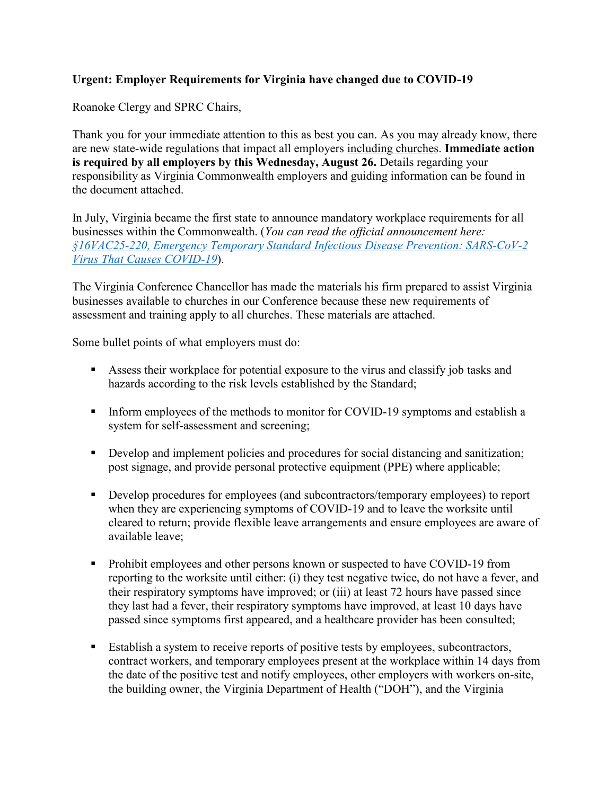## **Urgent: Employer Requirements for Virginia have changed due to COVID-19**

Roanoke Clergy and SPRC Chairs,

Thank you for your immediate attention to this as best you can. As you may already know, there are new state-wide regulations that impact all employers including churches. **Immediate action is required by all employers by this Wednesday, August 26.** Details regarding your responsibility as Virginia Commonwealth employers and guiding information can be found in the document attached.

In July, Virginia became the first state to announce mandatory workplace requirements for all businesses within the Commonwealth. (*You can read the official announcement here: [§16VAC25-220, Emergency Temporary Standard](https://www.doli.virginia.gov/wp-content/uploads/2020/07/COVID-19-Emergency-Temporary-Standard-FOR-PUBLIC-DISTRIBUTION-FINAL-7.17.2020.pdf) Infectious Disease Prevention: SARS-CoV-2 [Virus That Causes COVID-19](https://www.doli.virginia.gov/wp-content/uploads/2020/07/COVID-19-Emergency-Temporary-Standard-FOR-PUBLIC-DISTRIBUTION-FINAL-7.17.2020.pdf)*).

The Virginia Conference Chancellor has made the materials his firm prepared to assist Virginia businesses available to churches in our Conference because these new requirements of assessment and training apply to all churches. These materials are attached.

Some bullet points of what employers must do:

- Assess their workplace for potential exposure to the virus and classify job tasks and hazards according to the risk levels established by the Standard;
- Inform employees of the methods to monitor for COVID-19 symptoms and establish a system for self-assessment and screening;
- Develop and implement policies and procedures for social distancing and sanitization; post signage, and provide personal protective equipment (PPE) where applicable;
- Develop procedures for employees (and subcontractors/temporary employees) to report when they are experiencing symptoms of COVID-19 and to leave the worksite until cleared to return; provide flexible leave arrangements and ensure employees are aware of available leave;
- Prohibit employees and other persons known or suspected to have COVID-19 from reporting to the worksite until either: (i) they test negative twice, do not have a fever, and their respiratory symptoms have improved; or (iii) at least 72 hours have passed since they last had a fever, their respiratory symptoms have improved, at least 10 days have passed since symptoms first appeared, and a healthcare provider has been consulted;
- Establish a system to receive reports of positive tests by employees, subcontractors, contract workers, and temporary employees present at the workplace within 14 days from the date of the positive test and notify employees, other employers with workers on-site, the building owner, the Virginia Department of Health ("DOH"), and the Virginia